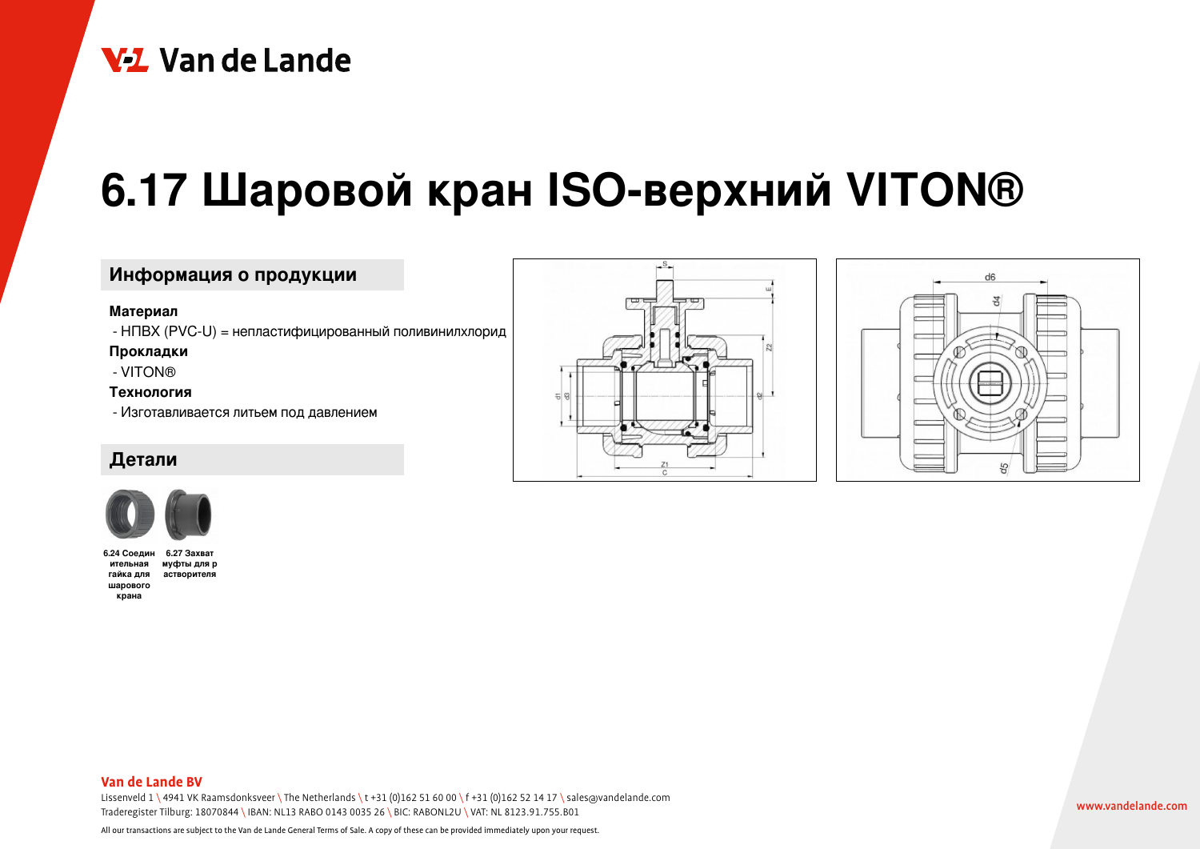# V<sub>1</sub> Van de Lande

# **6.17 Шаровой кран ISO-верхний VITON®**

## **Информация о продукции**

#### **Материал**

- НПВХ (PVC-U) = непластифицированный поливинилхлорид

**Прокладки**

- VITON®

#### **Технология**

- Изготавливается литьем под давлением

### **Детали**



**6.24 Соедин ительная муфты для р гайка для астворителяшарового крана 6.27 Захват**



 $-$ s.



#### **Van de Lande BV**

Lissenveld  $1 \ 4941$  VK Raamsdonksveer \ The Netherlands \t +31 (0)162 51 60 00 \f +31 (0)162 52 14 17 \ sales@vandelande.com Traderegister Tilburg: 18070844 \ IBAN: NL13 RABO 0143 0035 26 \ BIC: RABONL2U \ VAT: NL 8123.91.755.B01